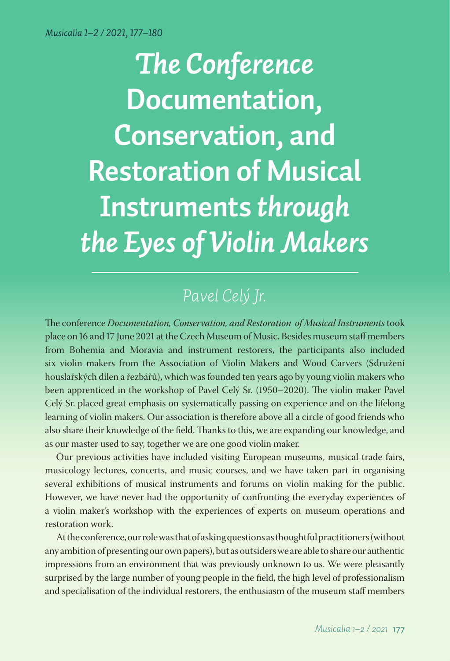*The Conference*  **Documentation, Conservation, and Restoration of Musical Instruments** *through the Eyes of Violin Makers*

# *Pavel Celý Jr.*

The conference *Documentation, Conservation, and Restoration of Musical Instruments* took place on 16 and 17 June 2021 at the Czech Museum of Music. Besides museum staff members from Bohemia and Moravia and instrument restorers, the participants also included six violin makers from the Association of Violin Makers and Wood Carvers (Sdružení houslařských dílen a řezbářů), which was founded ten years ago by young violin makers who been apprenticed in the workshop of Pavel Celý Sr. (1950–2020). The violin maker Pavel Celý Sr. placed great emphasis on systematically passing on experience and on the lifelong learning of violin makers. Our association is therefore above all a circle of good friends who also share their knowledge of the field. Thanks to this, we are expanding our knowledge, and as our master used to say, together we are one good violin maker.

Our previous activities have included visiting European museums, musical trade fairs, musicology lectures, concerts, and music courses, and we have taken part in organising several exhibitions of musical instruments and forums on violin making for the public. However, we have never had the opportunity of confronting the everyday experiences of a violin maker's workshop with the experiences of experts on museum operations and restoration work.

At the conference, our role was that of asking questions as thoughtful practitioners (without any ambition of presenting our own papers), but as outsiders we are able to share our authentic impressions from an environment that was previously unknown to us. We were pleasantly surprised by the large number of young people in the field, the high level of professionalism and specialisation of the individual restorers, the enthusiasm of the museum staff members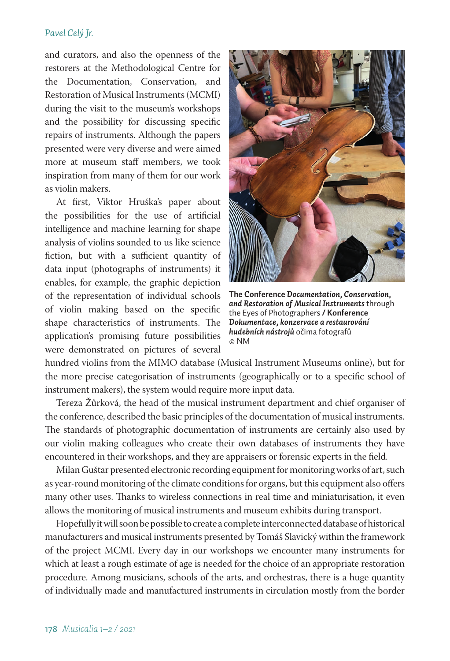## *Pavel Celý Jr.*

and curators, and also the openness of the restorers at the Methodological Centre for the Documentation, Conservation, and Restoration of Musical Instruments (MCMI) during the visit to the museum's workshops and the possibility for discussing specific repairs of instruments. Although the papers presented were very diverse and were aimed more at museum staff members, we took inspiration from many of them for our work as violin makers.

At first, Viktor Hruška's paper about the possibilities for the use of artificial intelligence and machine learning for shape analysis of violins sounded to us like science fiction, but with a sufficient quantity of data input (photographs of instruments) it enables, for example, the graphic depiction of the representation of individual schools of violin making based on the specific shape characteristics of instruments. The application's promising future possibilities were demonstrated on pictures of several



**The Conference** *Documentation, Conservation, and Restoration of Musical Instruments* through the Eyes of Photographers **/ Konference**  *Dokumentace, konzervace a restaurování hudebních nástrojů* očima fotografů © NM

hundred violins from the MIMO database (Musical Instrument Museums online), but for the more precise categorisation of instruments (geographically or to a specific school of instrument makers), the system would require more input data.

Tereza Žůrková, the head of the musical instrument department and chief organiser of the conference, described the basic principles of the documentation of musical instruments. The standards of photographic documentation of instruments are certainly also used by our violin making colleagues who create their own databases of instruments they have encountered in their workshops, and they are appraisers or forensic experts in the field.

Milan Guštar presented electronic recording equipment for monitoring works of art, such as year-round monitoring of the climate conditions for organs, but this equipment also offers many other uses. Thanks to wireless connections in real time and miniaturisation, it even allows the monitoring of musical instruments and museum exhibits during transport.

Hopefully it will soon be possible to create a complete interconnected database of historical manufacturers and musical instruments presented by Tomáš Slavický within the framework of the project MCMI. Every day in our workshops we encounter many instruments for which at least a rough estimate of age is needed for the choice of an appropriate restoration procedure. Among musicians, schools of the arts, and orchestras, there is a huge quantity of individually made and manufactured instruments in circulation mostly from the border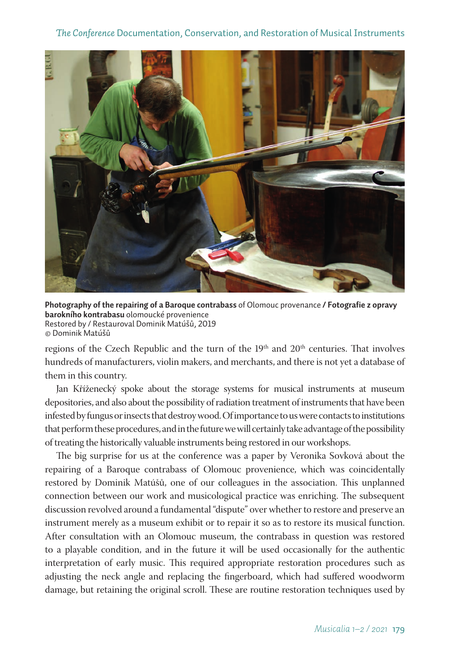## *The Conference* Documentation, Conservation, and Restoration of Musical Instruments



**Photography of the repairing of a Baroque contrabass** of Olomouc provenance **/ Fotografie z opravy barokního kontrabasu** olomoucké provenience Restored by / Restauroval Dominik Matúšů, 2019 © Dominik Matúšů

regions of the Czech Republic and the turn of the  $19<sup>th</sup>$  and  $20<sup>th</sup>$  centuries. That involves hundreds of manufacturers, violin makers, and merchants, and there is not yet a database of them in this country.

Jan Kříženecký spoke about the storage systems for musical instruments at museum depositories, and also about the possibility of radiation treatment of instruments that have been infested by fungus or insects that destroy wood. Of importance to us were contacts to institutions that perform these procedures, and in the future we will certainly take advantage of the possibility of treating the historically valuable instruments being restored in our workshops.

The big surprise for us at the conference was a paper by Veronika Sovková about the repairing of a Baroque contrabass of Olomouc provenience, which was coincidentally restored by Dominik Matúšů, one of our colleagues in the association. This unplanned connection between our work and musicological practice was enriching. The subsequent discussion revolved around a fundamental "dispute" over whether to restore and preserve an instrument merely as a museum exhibit or to repair it so as to restore its musical function. After consultation with an Olomouc museum, the contrabass in question was restored to a playable condition, and in the future it will be used occasionally for the authentic interpretation of early music. This required appropriate restoration procedures such as adjusting the neck angle and replacing the fingerboard, which had suffered woodworm damage, but retaining the original scroll. These are routine restoration techniques used by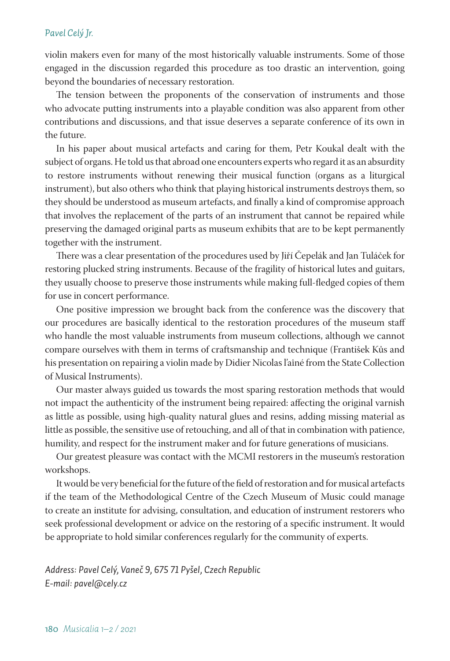### *Pavel Celý Jr.*

violin makers even for many of the most historically valuable instruments. Some of those engaged in the discussion regarded this procedure as too drastic an intervention, going beyond the boundaries of necessary restoration.

The tension between the proponents of the conservation of instruments and those who advocate putting instruments into a playable condition was also apparent from other contributions and discussions, and that issue deserves a separate conference of its own in the future.

In his paper about musical artefacts and caring for them, Petr Koukal dealt with the subject of organs. He told us that abroad one encounters experts who regard it as an absurdity to restore instruments without renewing their musical function (organs as a liturgical instrument), but also others who think that playing historical instruments destroys them, so they should be understood as museum artefacts, and finally a kind of compromise approach that involves the replacement of the parts of an instrument that cannot be repaired while preserving the damaged original parts as museum exhibits that are to be kept permanently together with the instrument.

There was a clear presentation of the procedures used by Jiří Čepelák and Jan Tuláček for restoring plucked string instruments. Because of the fragility of historical lutes and guitars, they usually choose to preserve those instruments while making full-fledged copies of them for use in concert performance.

One positive impression we brought back from the conference was the discovery that our procedures are basically identical to the restoration procedures of the museum staff who handle the most valuable instruments from museum collections, although we cannot compare ourselves with them in terms of craftsmanship and technique (František Kůs and his presentation on repairing a violin made by Didier Nicolas l'aîné from the State Collection of Musical Instruments).

Our master always guided us towards the most sparing restoration methods that would not impact the authenticity of the instrument being repaired: affecting the original varnish as little as possible, using high-quality natural glues and resins, adding missing material as little as possible, the sensitive use of retouching, and all of that in combination with patience, humility, and respect for the instrument maker and for future generations of musicians.

Our greatest pleasure was contact with the MCMI restorers in the museum's restoration workshops.

It would be very beneficial for the future of the field of restoration and for musical artefacts if the team of the Methodological Centre of the Czech Museum of Music could manage to create an institute for advising, consultation, and education of instrument restorers who seek professional development or advice on the restoring of a specific instrument. It would be appropriate to hold similar conferences regularly for the community of experts.

*Address: Pavel Celý, Vaneč 9, 675 71 Pyšel, Czech Republic E-mail: pavel@cely.cz*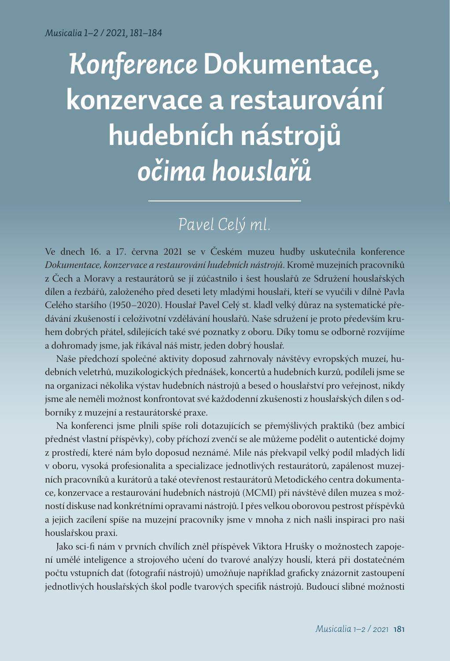# *Konference* **Dokumentace, konzervace a restaurování hudebních nástrojů** *očima houslařů*

# *Pavel Celý ml.*

Ve dnech 16. a 17. června 2021 se v Českém muzeu hudby uskutečnila konference *Dokumentace, konzervace a restaurování hudebních nástrojů*. Kromě muzejních pracovníků z Čech a Moravy a restaurátorů se jí zúčastnilo i šest houslařů ze Sdružení houslařských dílen a řezbářů, založeného před deseti lety mladými houslaři, kteří se vyučili v dílně Pavla Celého staršího (1950–2020). Houslař Pavel Celý st. kladl velký důraz na systematické předávání zkušeností i celoživotní vzdělávání houslařů. Naše sdružení je proto především kruhem dobrých přátel, sdílejících také své poznatky z oboru. Díky tomu se odborně rozvíjíme a dohromady jsme, jak říkával náš mistr, jeden dobrý houslař.

Naše předchozí společné aktivity doposud zahrnovaly návštěvy evropských muzeí, hudebních veletrhů, muzikologických přednášek, koncertů a hudebních kurzů, podíleli jsme se na organizaci několika výstav hudebních nástrojů a besed o houslařství pro veřejnost, nikdy jsme ale neměli možnost konfrontovat své každodenní zkušenosti z houslařských dílen s odborníky z muzejní a restaurátorské praxe.

Na konferenci jsme plnili spíše roli dotazujících se přemýšlivých praktiků (bez ambicí přednést vlastní příspěvky), coby příchozí zvenčí se ale můžeme podělit o autentické dojmy z prostředí, které nám bylo doposud neznámé. Mile nás překvapil velký podíl mladých lidí v oboru, vysoká profesionalita a specializace jednotlivých restaurátorů, zapálenost muzejních pracovníků a kurátorů a také otevřenost restaurátorů Metodického centra dokumentace, konzervace a restaurování hudebních nástrojů (MCMI) při návštěvě dílen muzea s možností diskuse nad konkrétními opravami nástrojů. I přes velkou oborovou pestrost příspěvků a jejich zacílení spíše na muzejní pracovníky jsme v mnoha z nich našli inspiraci pro naši houslařskou praxi.

Jako sci-fi nám v prvních chvílích zněl příspěvek Viktora Hrušky o možnostech zapojení umělé inteligence a strojového učení do tvarové analýzy houslí, která při dostatečném počtu vstupních dat (fotografií nástrojů) umožňuje například graficky znázornit zastoupení jednotlivých houslařských škol podle tvarových specifik nástrojů. Budoucí slibné možnosti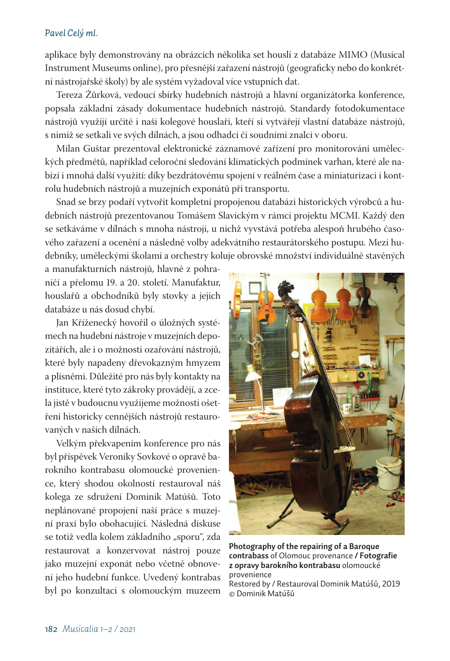### *Pavel Celý ml.*

aplikace byly demonstrovány na obrázcích několika set houslí z databáze MIMO (Musical Instrument Museums online), pro přesnější zařazení nástrojů (geograficky nebo do konkrétní nástrojařské školy) by ale systém vyžadoval více vstupních dat.

Tereza Žůrková, vedoucí sbírky hudebních nástrojů a hlavní organizátorka konference, popsala základní zásady dokumentace hudebních nástrojů. Standardy fotodokumentace nástrojů využijí určitě i naši kolegové houslaři, kteří si vytvářejí vlastní databáze nástrojů, s nimiž se setkali ve svých dílnách, a jsou odhadci či soudními znalci v oboru.

Milan Guštar prezentoval elektronické záznamové zařízení pro monitorování uměleckých předmětů, například celoroční sledování klimatických podmínek varhan, které ale nabízí i mnohá další využití: díky bezdrátovému spojení v reálném čase a miniaturizaci i kontrolu hudebních nástrojů a muzejních exponátů při transportu.

Snad se brzy podaří vytvořit kompletní propojenou databázi historických výrobců a hudebních nástrojů prezentovanou Tomášem Slavickým v rámci projektu MCMI. Každý den se setkáváme v dílnách s mnoha nástroji, u nichž vyvstává potřeba alespoň hrubého časového zařazení a ocenění a následně volby adekvátního restaurátorského postupu. Mezi hudebníky, uměleckými školami a orchestry koluje obrovské množství individuálně stavěných

a manufakturních nástrojů, hlavně z pohraničí a přelomu 19. a 20. století. Manufaktur, houslařů a obchodníků byly stovky a jejich databáze u nás dosud chybí.

Jan Kříženecký hovořil o úložných systémech na hudební nástroje v muzejních depozitářích, ale i o možnosti ozařování nástrojů, které byly napadeny dřevokazným hmyzem a plísněmi. Důležité pro nás byly kontakty na instituce, které tyto zákroky provádějí, a zcela jistě v budoucnu využijeme možnosti ošetření historicky cennějších nástrojů restaurovaných v našich dílnách.

Velkým překvapením konference pro nás byl příspěvek Veroniky Sovkové o opravě barokního kontrabasu olomoucké provenience, který shodou okolností restauroval náš kolega ze sdružení Dominik Matúšů. Toto neplánované propojení naší práce s muzejní praxí bylo obohacující. Následná diskuse se totiž vedla kolem základního "sporu", zda restaurovat a konzervovat nástroj pouze jako muzejní exponát nebo včetně obnovení jeho hudební funkce. Uvedený kontrabas byl po konzultaci s olomouckým muzeem



**Photography of the repairing of a Baroque contrabass** of Olomouc provenance **/ Fotografie z opravy barokního kontrabasu** olomoucké provenience

Restored by / Restauroval Dominik Matúšů, 2019 © Dominik Matúšů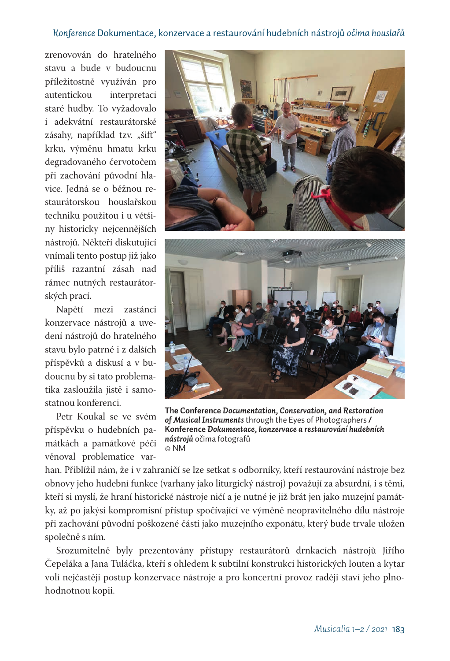# *Konference* Dokumentace, konzervace a restaurování hudebních nástrojů *očima houslařů*

zrenovován do hratelného stavu a bude v budoucnu příležitostně využíván pro autentickou interpretaci staré hudby. To vyžadovalo i adekvátní restaurátorské zásahy, například tzv. "šift" krku, výměnu hmatu krku degradovaného červotočem při zachování původní hlavice. Jedná se o běžnou restaurátorskou houslařskou techniku použitou i u většiny historicky nejcennějších nástrojů. Někteří diskutující vnímali tento postup již jako příliš razantní zásah nad rámec nutných restaurátorských prací.

Napětí mezi zastánci konzervace nástrojů a uvedení nástrojů do hratelného stavu bylo patrné i z dalších příspěvků a diskusí a v budoucnu by si tato problematika zasloužila jistě i samostatnou konferenci.

Petr Koukal se ve svém příspěvku o hudebních památkách a památkové péči věnoval problematice var-





**The Conference** *Documentation, Conservation, and Restoration of Musical Instruments* through the Eyes of Photographers **/ Konference** *Dokumentace, konzervace a restaurování hudebních nástrojů* očima fotografů © NM

han. Přiblížil nám, že i v zahraničí se lze setkat s odborníky, kteří restaurování nástroje bez obnovy jeho hudební funkce (varhany jako liturgický nástroj) považují za absurdní, i s těmi, kteří si myslí, že hraní historické nástroje ničí a je nutné je již brát jen jako muzejní památky, až po jakýsi kompromisní přístup spočívající ve výměně neopravitelného dílu nástroje při zachování původní poškozené části jako muzejního exponátu, který bude trvale uložen společně s ním.

Srozumitelně byly prezentovány přístupy restaurátorů drnkacích nástrojů Jiřího Čepeláka a Jana Tuláčka, kteří s ohledem k subtilní konstrukci historických louten a kytar volí nejčastěji postup konzervace nástroje a pro koncertní provoz raději staví jeho plnohodnotnou kopii.